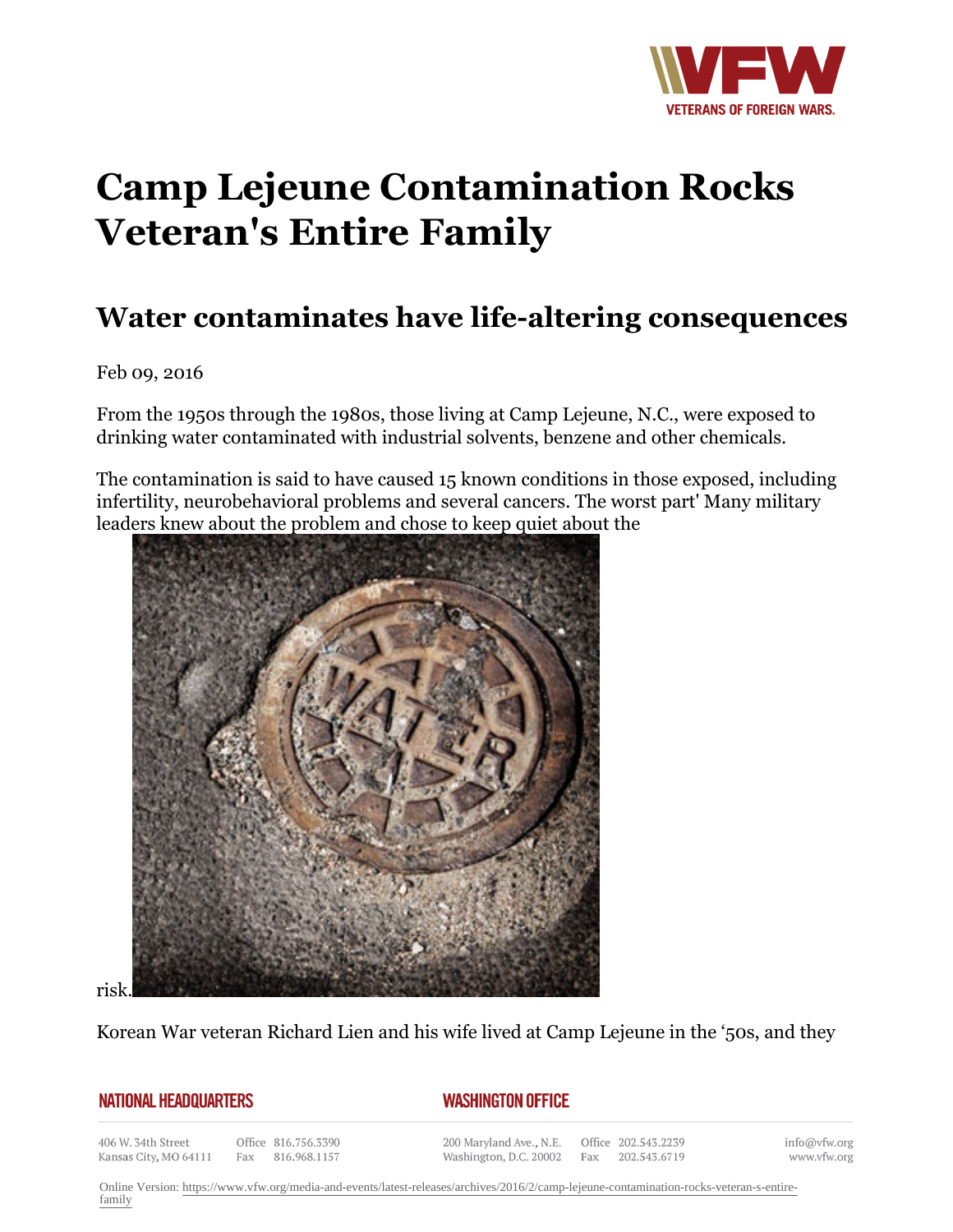

## **Camp Lejeune Contamination Rocks Veteran's Entire Family**

## **Water contaminates have life-altering consequences**

Feb 09, 2016

From the 1950s through the 1980s, those living at Camp Lejeune, N.C., were exposed to drinking water contaminated with industrial solvents, benzene and other chemicals.

The contamination is said to have caused 15 known conditions in those exposed, including infertility, neurobehavioral problems and several cancers. The worst part' Many military leaders knew about the problem and chose to keep quiet about the



risk.

Korean War veteran Richard Lien and his wife lived at Camp Lejeune in the '50s, and they

## **NATIONAL HEADQUARTERS**

## *WASHINGTON OFFICE*

406 W. 34th Street Kansas City, MO 64111

Office 816.756.3390 Fax 816.968.1157

200 Maryland Ave., N.E. Washington, D.C. 20002

Office 202.543.2239 Fax 202.543.6719

info@vfw.org www.vfw.org

Online Version: [https://www.vfw.org/media-and-events/latest-releases/archives/2016/2/camp-lejeune-contamination-rocks-veteran-s-entire](https://www.vfw.org/media-and-events/latest-releases/archives/2016/2/camp-lejeune-contamination-rocks-veteran-s-entire-family)[family](https://www.vfw.org/media-and-events/latest-releases/archives/2016/2/camp-lejeune-contamination-rocks-veteran-s-entire-family)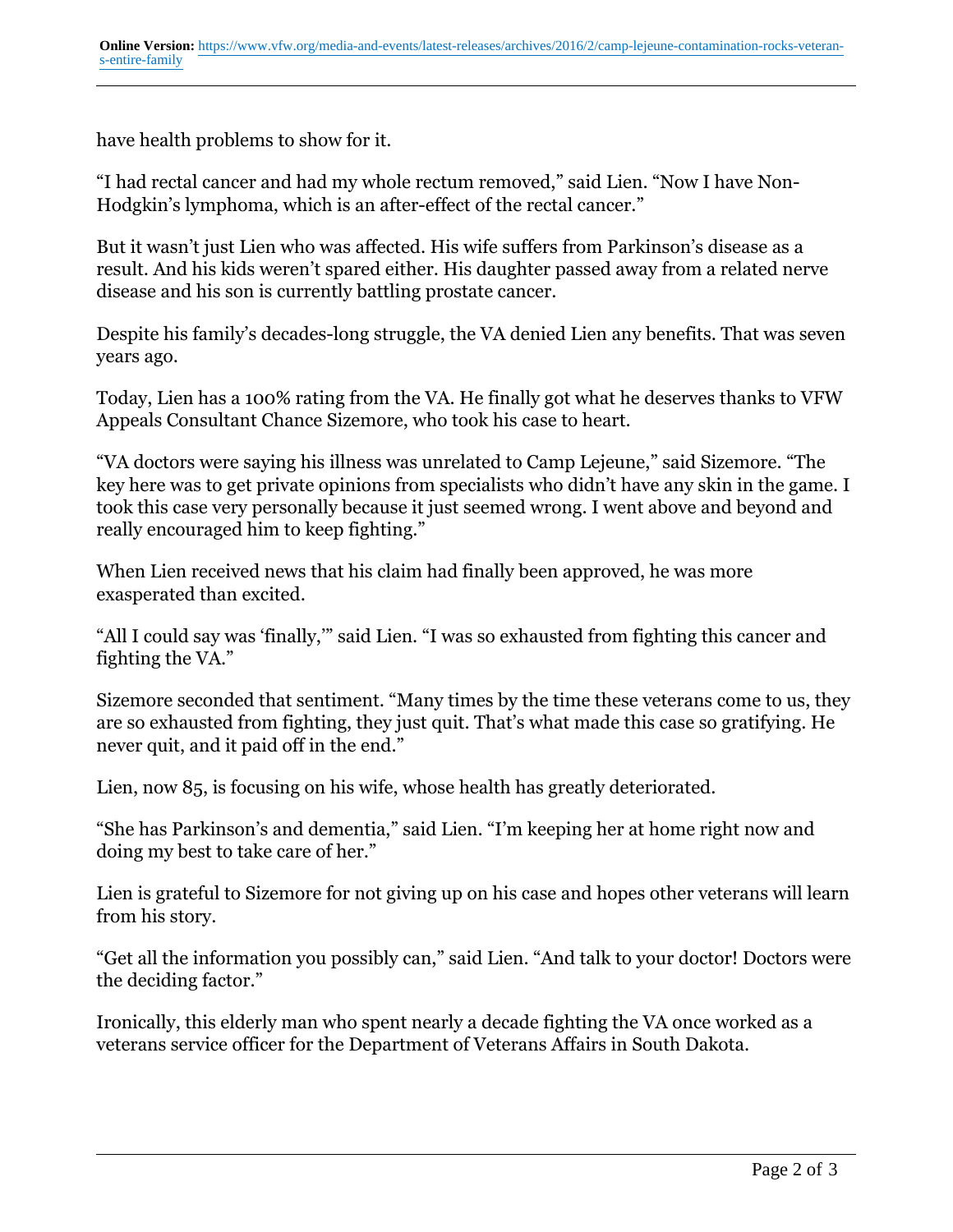have health problems to show for it.

"I had rectal cancer and had my whole rectum removed," said Lien. "Now I have Non-Hodgkin's lymphoma, which is an after-effect of the rectal cancer."

But it wasn't just Lien who was affected. His wife suffers from Parkinson's disease as a result. And his kids weren't spared either. His daughter passed away from a related nerve disease and his son is currently battling prostate cancer.

Despite his family's decades-long struggle, the VA denied Lien any benefits. That was seven years ago.

Today, Lien has a 100% rating from the VA. He finally got what he deserves thanks to VFW Appeals Consultant Chance Sizemore, who took his case to heart.

"VA doctors were saying his illness was unrelated to Camp Lejeune," said Sizemore. "The key here was to get private opinions from specialists who didn't have any skin in the game. I took this case very personally because it just seemed wrong. I went above and beyond and really encouraged him to keep fighting."

When Lien received news that his claim had finally been approved, he was more exasperated than excited.

"All I could say was 'finally,'" said Lien. "I was so exhausted from fighting this cancer and fighting the VA."

Sizemore seconded that sentiment. "Many times by the time these veterans come to us, they are so exhausted from fighting, they just quit. That's what made this case so gratifying. He never quit, and it paid off in the end."

Lien, now 85, is focusing on his wife, whose health has greatly deteriorated.

"She has Parkinson's and dementia," said Lien. "I'm keeping her at home right now and doing my best to take care of her."

Lien is grateful to Sizemore for not giving up on his case and hopes other veterans will learn from his story.

"Get all the information you possibly can," said Lien. "And talk to your doctor! Doctors were the deciding factor."

Ironically, this elderly man who spent nearly a decade fighting the VA once worked as a veterans service officer for the Department of Veterans Affairs in South Dakota.